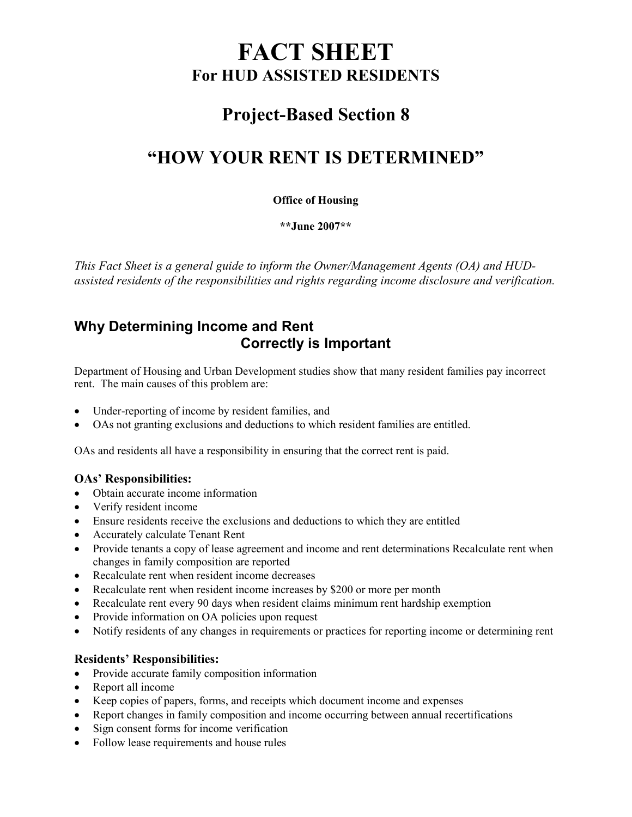# FACT SHEET For HUD ASSISTED RESIDENTS

## Project-Based Section 8

## "HOW YOUR RENT IS DETERMINED"

#### Office of Housing

\*\*June 2007\*\*

This Fact Sheet is a general guide to inform the Owner/Management Agents (OA) and HUDassisted residents of the responsibilities and rights regarding income disclosure and verification.

### Why Determining Income and Rent Correctly is Important

Department of Housing and Urban Development studies show that many resident families pay incorrect rent. The main causes of this problem are:

- Under-reporting of income by resident families, and
- OAs not granting exclusions and deductions to which resident families are entitled.

OAs and residents all have a responsibility in ensuring that the correct rent is paid.

#### OAs' Responsibilities:

- Obtain accurate income information
- Verify resident income
- Ensure residents receive the exclusions and deductions to which they are entitled
- Accurately calculate Tenant Rent
- Provide tenants a copy of lease agreement and income and rent determinations Recalculate rent when changes in family composition are reported
- Recalculate rent when resident income decreases
- Recalculate rent when resident income increases by \$200 or more per month
- Recalculate rent every 90 days when resident claims minimum rent hardship exemption
- Provide information on OA policies upon request
- Notify residents of any changes in requirements or practices for reporting income or determining rent

#### Residents' Responsibilities:

- Provide accurate family composition information
- Report all income
- Keep copies of papers, forms, and receipts which document income and expenses
- Report changes in family composition and income occurring between annual recertifications
- Sign consent forms for income verification
- Follow lease requirements and house rules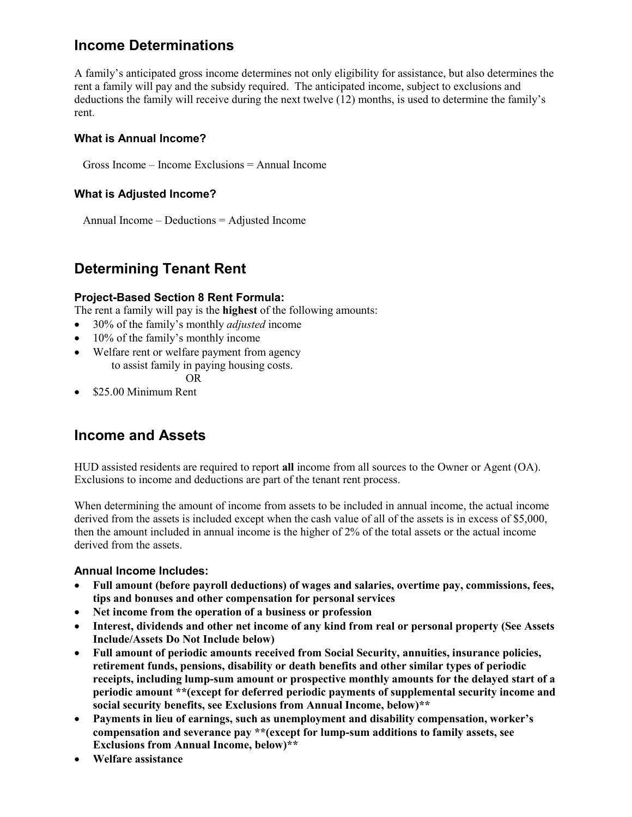### Income Determinations

A family's anticipated gross income determines not only eligibility for assistance, but also determines the rent a family will pay and the subsidy required. The anticipated income, subject to exclusions and deductions the family will receive during the next twelve (12) months, is used to determine the family's rent.

#### What is Annual Income?

Gross Income – Income Exclusions = Annual Income

#### What is Adjusted Income?

Annual Income – Deductions = Adjusted Income

### Determining Tenant Rent

#### Project-Based Section 8 Rent Formula:

The rent a family will pay is the highest of the following amounts:

- 30% of the family's monthly *adjusted* income
- 10% of the family's monthly income
- Welfare rent or welfare payment from agency to assist family in paying housing costs.

OR

• \$25.00 Minimum Rent

### Income and Assets

HUD assisted residents are required to report all income from all sources to the Owner or Agent (OA). Exclusions to income and deductions are part of the tenant rent process.

When determining the amount of income from assets to be included in annual income, the actual income derived from the assets is included except when the cash value of all of the assets is in excess of \$5,000, then the amount included in annual income is the higher of 2% of the total assets or the actual income derived from the assets.

#### Annual Income Includes:

- Full amount (before payroll deductions) of wages and salaries, overtime pay, commissions, fees, tips and bonuses and other compensation for personal services
- Net income from the operation of a business or profession
- Interest, dividends and other net income of any kind from real or personal property (See Assets Include/Assets Do Not Include below)
- Full amount of periodic amounts received from Social Security, annuities, insurance policies, retirement funds, pensions, disability or death benefits and other similar types of periodic receipts, including lump-sum amount or prospective monthly amounts for the delayed start of a periodic amount \*\*(except for deferred periodic payments of supplemental security income and social security benefits, see Exclusions from Annual Income, below)\*\*
- Payments in lieu of earnings, such as unemployment and disability compensation, worker's compensation and severance pay \*\*(except for lump-sum additions to family assets, see Exclusions from Annual Income, below)\*\*
- Welfare assistance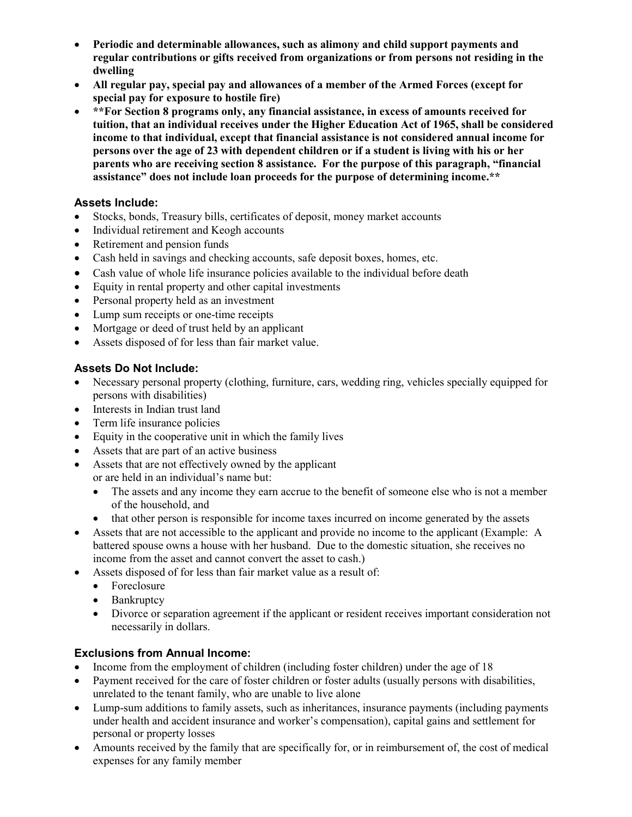- Periodic and determinable allowances, such as alimony and child support payments and regular contributions or gifts received from organizations or from persons not residing in the dwelling
- All regular pay, special pay and allowances of a member of the Armed Forces (except for special pay for exposure to hostile fire)
- \*\*For Section 8 programs only, any financial assistance, in excess of amounts received for tuition, that an individual receives under the Higher Education Act of 1965, shall be considered income to that individual, except that financial assistance is not considered annual income for persons over the age of 23 with dependent children or if a student is living with his or her parents who are receiving section 8 assistance. For the purpose of this paragraph, "financial assistance" does not include loan proceeds for the purpose of determining income.\*\*

#### Assets Include:

- Stocks, bonds, Treasury bills, certificates of deposit, money market accounts
- Individual retirement and Keogh accounts
- Retirement and pension funds
- Cash held in savings and checking accounts, safe deposit boxes, homes, etc.
- Cash value of whole life insurance policies available to the individual before death
- Equity in rental property and other capital investments
- Personal property held as an investment
- Lump sum receipts or one-time receipts
- Mortgage or deed of trust held by an applicant
- Assets disposed of for less than fair market value.

#### Assets Do Not Include:

- Necessary personal property (clothing, furniture, cars, wedding ring, vehicles specially equipped for persons with disabilities)
- Interests in Indian trust land
- Term life insurance policies
- Equity in the cooperative unit in which the family lives
- Assets that are part of an active business
- Assets that are not effectively owned by the applicant or are held in an individual's name but:
	- The assets and any income they earn accrue to the benefit of someone else who is not a member of the household, and
	- that other person is responsible for income taxes incurred on income generated by the assets
- Assets that are not accessible to the applicant and provide no income to the applicant (Example: A battered spouse owns a house with her husband. Due to the domestic situation, she receives no income from the asset and cannot convert the asset to cash.)
- Assets disposed of for less than fair market value as a result of:
	- Foreclosure
	- Bankruptcy
	- Divorce or separation agreement if the applicant or resident receives important consideration not necessarily in dollars.

#### Exclusions from Annual Income:

- Income from the employment of children (including foster children) under the age of 18
- Payment received for the care of foster children or foster adults (usually persons with disabilities, unrelated to the tenant family, who are unable to live alone
- Lump-sum additions to family assets, such as inheritances, insurance payments (including payments under health and accident insurance and worker's compensation), capital gains and settlement for personal or property losses
- Amounts received by the family that are specifically for, or in reimbursement of, the cost of medical expenses for any family member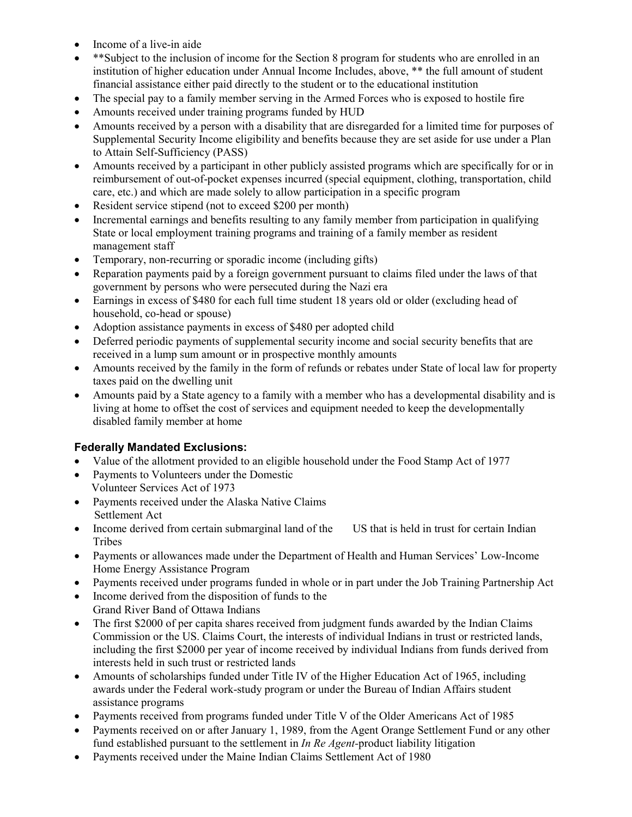- Income of a live-in aide
- \*\*Subject to the inclusion of income for the Section 8 program for students who are enrolled in an institution of higher education under Annual Income Includes, above, \*\* the full amount of student financial assistance either paid directly to the student or to the educational institution
- The special pay to a family member serving in the Armed Forces who is exposed to hostile fire
- Amounts received under training programs funded by HUD
- Amounts received by a person with a disability that are disregarded for a limited time for purposes of Supplemental Security Income eligibility and benefits because they are set aside for use under a Plan to Attain Self-Sufficiency (PASS)
- Amounts received by a participant in other publicly assisted programs which are specifically for or in reimbursement of out-of-pocket expenses incurred (special equipment, clothing, transportation, child care, etc.) and which are made solely to allow participation in a specific program
- Resident service stipend (not to exceed \$200 per month)
- Incremental earnings and benefits resulting to any family member from participation in qualifying State or local employment training programs and training of a family member as resident management staff
- Temporary, non-recurring or sporadic income (including gifts)
- Reparation payments paid by a foreign government pursuant to claims filed under the laws of that government by persons who were persecuted during the Nazi era
- Earnings in excess of \$480 for each full time student 18 years old or older (excluding head of household, co-head or spouse)
- Adoption assistance payments in excess of \$480 per adopted child
- Deferred periodic payments of supplemental security income and social security benefits that are received in a lump sum amount or in prospective monthly amounts
- Amounts received by the family in the form of refunds or rebates under State of local law for property taxes paid on the dwelling unit
- Amounts paid by a State agency to a family with a member who has a developmental disability and is living at home to offset the cost of services and equipment needed to keep the developmentally disabled family member at home

#### Federally Mandated Exclusions:

- Value of the allotment provided to an eligible household under the Food Stamp Act of 1977
- Payments to Volunteers under the Domestic Volunteer Services Act of 1973
- Payments received under the Alaska Native Claims Settlement Act
- Income derived from certain submarginal land of the US that is held in trust for certain Indian Tribes
- Payments or allowances made under the Department of Health and Human Services' Low-Income Home Energy Assistance Program
- Payments received under programs funded in whole or in part under the Job Training Partnership Act
- Income derived from the disposition of funds to the Grand River Band of Ottawa Indians
- The first \$2000 of per capita shares received from judgment funds awarded by the Indian Claims Commission or the US. Claims Court, the interests of individual Indians in trust or restricted lands, including the first \$2000 per year of income received by individual Indians from funds derived from interests held in such trust or restricted lands
- Amounts of scholarships funded under Title IV of the Higher Education Act of 1965, including awards under the Federal work-study program or under the Bureau of Indian Affairs student assistance programs
- Payments received from programs funded under Title V of the Older Americans Act of 1985
- Payments received on or after January 1, 1989, from the Agent Orange Settlement Fund or any other fund established pursuant to the settlement in *In Re Agent*-product liability litigation
- Payments received under the Maine Indian Claims Settlement Act of 1980